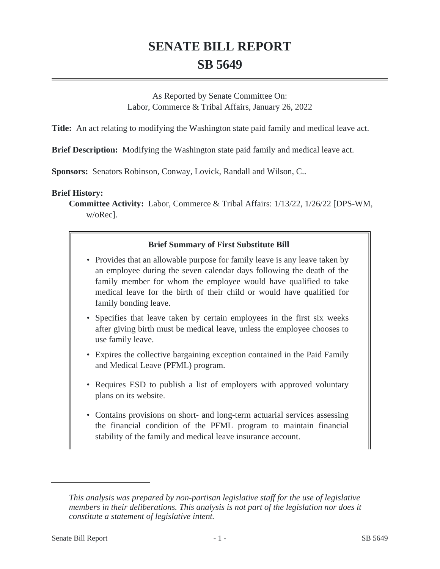# **SENATE BILL REPORT SB 5649**

As Reported by Senate Committee On: Labor, Commerce & Tribal Affairs, January 26, 2022

**Title:** An act relating to modifying the Washington state paid family and medical leave act.

**Brief Description:** Modifying the Washington state paid family and medical leave act.

**Sponsors:** Senators Robinson, Conway, Lovick, Randall and Wilson, C..

### **Brief History:**

**Committee Activity:** Labor, Commerce & Tribal Affairs: 1/13/22, 1/26/22 [DPS-WM, w/oRec].

# **Brief Summary of First Substitute Bill**

- Provides that an allowable purpose for family leave is any leave taken by an employee during the seven calendar days following the death of the family member for whom the employee would have qualified to take medical leave for the birth of their child or would have qualified for family bonding leave.
- Specifies that leave taken by certain employees in the first six weeks after giving birth must be medical leave, unless the employee chooses to use family leave.
- Expires the collective bargaining exception contained in the Paid Family and Medical Leave (PFML) program.
- Requires ESD to publish a list of employers with approved voluntary plans on its website.
- Contains provisions on short- and long-term actuarial services assessing the financial condition of the PFML program to maintain financial stability of the family and medical leave insurance account.

*This analysis was prepared by non-partisan legislative staff for the use of legislative members in their deliberations. This analysis is not part of the legislation nor does it constitute a statement of legislative intent.*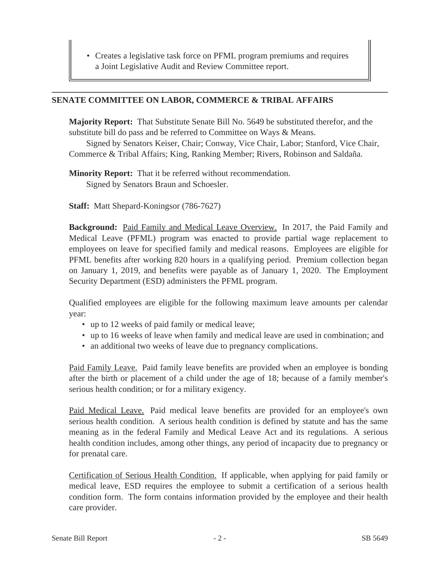• Creates a legislative task force on PFML program premiums and requires a Joint Legislative Audit and Review Committee report.

#### **SENATE COMMITTEE ON LABOR, COMMERCE & TRIBAL AFFAIRS**

**Majority Report:** That Substitute Senate Bill No. 5649 be substituted therefor, and the substitute bill do pass and be referred to Committee on Ways & Means.

Signed by Senators Keiser, Chair; Conway, Vice Chair, Labor; Stanford, Vice Chair, Commerce & Tribal Affairs; King, Ranking Member; Rivers, Robinson and Saldaña.

**Minority Report:** That it be referred without recommendation. Signed by Senators Braun and Schoesler.

**Staff:** Matt Shepard-Koningsor (786-7627)

**Background:** Paid Family and Medical Leave Overview. In 2017, the Paid Family and Medical Leave (PFML) program was enacted to provide partial wage replacement to employees on leave for specified family and medical reasons. Employees are eligible for PFML benefits after working 820 hours in a qualifying period. Premium collection began on January 1, 2019, and benefits were payable as of January 1, 2020. The Employment Security Department (ESD) administers the PFML program.

Qualified employees are eligible for the following maximum leave amounts per calendar year:

- up to 12 weeks of paid family or medical leave;
- up to 16 weeks of leave when family and medical leave are used in combination; and
- an additional two weeks of leave due to pregnancy complications.

Paid Family Leave. Paid family leave benefits are provided when an employee is bonding after the birth or placement of a child under the age of 18; because of a family member's serious health condition; or for a military exigency.

Paid Medical Leave. Paid medical leave benefits are provided for an employee's own serious health condition. A serious health condition is defined by statute and has the same meaning as in the federal Family and Medical Leave Act and its regulations. A serious health condition includes, among other things, any period of incapacity due to pregnancy or for prenatal care.

Certification of Serious Health Condition. If applicable, when applying for paid family or medical leave, ESD requires the employee to submit a certification of a serious health condition form. The form contains information provided by the employee and their health care provider.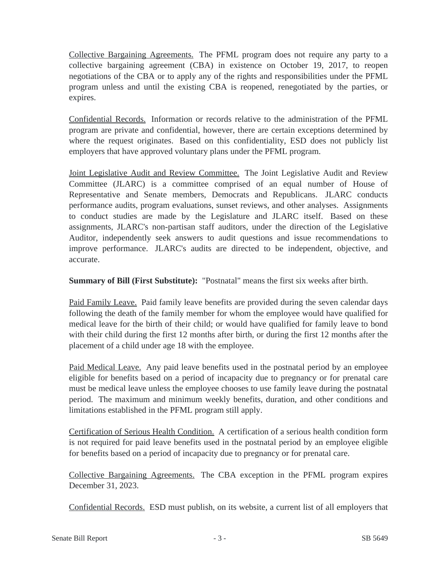Collective Bargaining Agreements. The PFML program does not require any party to a collective bargaining agreement (CBA) in existence on October 19, 2017, to reopen negotiations of the CBA or to apply any of the rights and responsibilities under the PFML program unless and until the existing CBA is reopened, renegotiated by the parties, or expires.

Confidential Records. Information or records relative to the administration of the PFML program are private and confidential, however, there are certain exceptions determined by where the request originates. Based on this confidentiality, ESD does not publicly list employers that have approved voluntary plans under the PFML program.

Joint Legislative Audit and Review Committee. The Joint Legislative Audit and Review Committee (JLARC) is a committee comprised of an equal number of House of Representative and Senate members, Democrats and Republicans. JLARC conducts performance audits, program evaluations, sunset reviews, and other analyses. Assignments to conduct studies are made by the Legislature and JLARC itself. Based on these assignments, JLARC's non-partisan staff auditors, under the direction of the Legislative Auditor, independently seek answers to audit questions and issue recommendations to improve performance. JLARC's audits are directed to be independent, objective, and accurate.

**Summary of Bill (First Substitute):** "Postnatal" means the first six weeks after birth.

Paid Family Leave. Paid family leave benefits are provided during the seven calendar days following the death of the family member for whom the employee would have qualified for medical leave for the birth of their child; or would have qualified for family leave to bond with their child during the first 12 months after birth, or during the first 12 months after the placement of a child under age 18 with the employee.

Paid Medical Leave. Any paid leave benefits used in the postnatal period by an employee eligible for benefits based on a period of incapacity due to pregnancy or for prenatal care must be medical leave unless the employee chooses to use family leave during the postnatal period. The maximum and minimum weekly benefits, duration, and other conditions and limitations established in the PFML program still apply.

Certification of Serious Health Condition. A certification of a serious health condition form is not required for paid leave benefits used in the postnatal period by an employee eligible for benefits based on a period of incapacity due to pregnancy or for prenatal care.

Collective Bargaining Agreements. The CBA exception in the PFML program expires December 31, 2023.

Confidential Records. ESD must publish, on its website, a current list of all employers that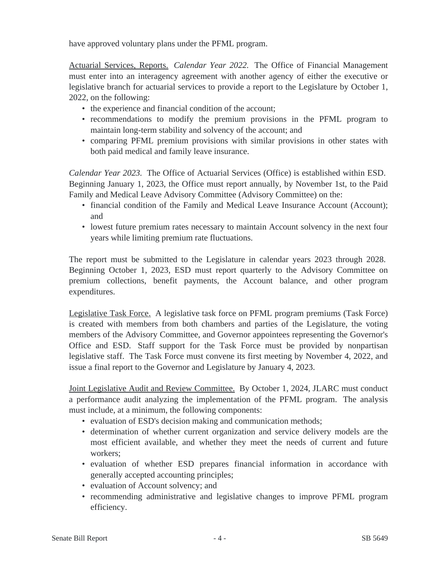have approved voluntary plans under the PFML program.

Actuarial Services, Reports. *Calendar Year 2022.* The Office of Financial Management must enter into an interagency agreement with another agency of either the executive or legislative branch for actuarial services to provide a report to the Legislature by October 1, 2022, on the following:

- the experience and financial condition of the account;
- recommendations to modify the premium provisions in the PFML program to maintain long-term stability and solvency of the account; and
- comparing PFML premium provisions with similar provisions in other states with both paid medical and family leave insurance.

*Calendar Year 2023.* The Office of Actuarial Services (Office) is established within ESD. Beginning January 1, 2023, the Office must report annually, by November 1st, to the Paid Family and Medical Leave Advisory Committee (Advisory Committee) on the:

- financial condition of the Family and Medical Leave Insurance Account (Account); and
- lowest future premium rates necessary to maintain Account solvency in the next four years while limiting premium rate fluctuations.

The report must be submitted to the Legislature in calendar years 2023 through 2028. Beginning October 1, 2023, ESD must report quarterly to the Advisory Committee on premium collections, benefit payments, the Account balance, and other program expenditures.

Legislative Task Force. A legislative task force on PFML program premiums (Task Force) is created with members from both chambers and parties of the Legislature, the voting members of the Advisory Committee, and Governor appointees representing the Governor's Office and ESD. Staff support for the Task Force must be provided by nonpartisan legislative staff. The Task Force must convene its first meeting by November 4, 2022, and issue a final report to the Governor and Legislature by January 4, 2023.

Joint Legislative Audit and Review Committee. By October 1, 2024, JLARC must conduct a performance audit analyzing the implementation of the PFML program. The analysis must include, at a minimum, the following components:

- evaluation of ESD's decision making and communication methods;
- determination of whether current organization and service delivery models are the most efficient available, and whether they meet the needs of current and future workers;
- evaluation of whether ESD prepares financial information in accordance with generally accepted accounting principles;
- evaluation of Account solvency; and
- recommending administrative and legislative changes to improve PFML program efficiency.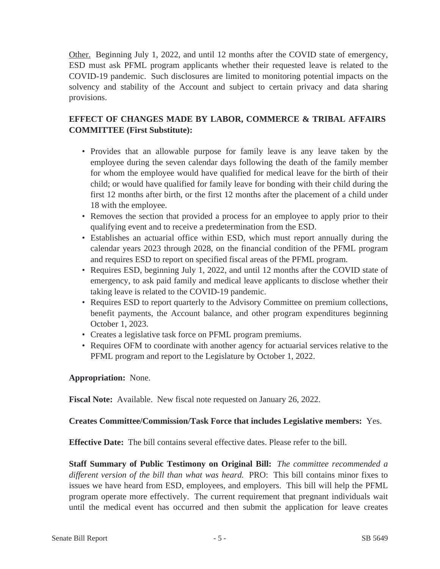Other. Beginning July 1, 2022, and until 12 months after the COVID state of emergency, ESD must ask PFML program applicants whether their requested leave is related to the COVID-19 pandemic. Such disclosures are limited to monitoring potential impacts on the solvency and stability of the Account and subject to certain privacy and data sharing provisions.

# **EFFECT OF CHANGES MADE BY LABOR, COMMERCE & TRIBAL AFFAIRS COMMITTEE (First Substitute):**

- Provides that an allowable purpose for family leave is any leave taken by the employee during the seven calendar days following the death of the family member for whom the employee would have qualified for medical leave for the birth of their child; or would have qualified for family leave for bonding with their child during the first 12 months after birth, or the first 12 months after the placement of a child under 18 with the employee.
- Removes the section that provided a process for an employee to apply prior to their qualifying event and to receive a predetermination from the ESD.
- Establishes an actuarial office within ESD, which must report annually during the calendar years 2023 through 2028, on the financial condition of the PFML program and requires ESD to report on specified fiscal areas of the PFML program.
- Requires ESD, beginning July 1, 2022, and until 12 months after the COVID state of emergency, to ask paid family and medical leave applicants to disclose whether their taking leave is related to the COVID-19 pandemic.
- Requires ESD to report quarterly to the Advisory Committee on premium collections, benefit payments, the Account balance, and other program expenditures beginning October 1, 2023.
- Creates a legislative task force on PFML program premiums.
- Requires OFM to coordinate with another agency for actuarial services relative to the PFML program and report to the Legislature by October 1, 2022.

# **Appropriation:** None.

**Fiscal Note:** Available. New fiscal note requested on January 26, 2022.

# **Creates Committee/Commission/Task Force that includes Legislative members:** Yes.

**Effective Date:** The bill contains several effective dates. Please refer to the bill.

**Staff Summary of Public Testimony on Original Bill:** *The committee recommended a different version of the bill than what was heard.* PRO: This bill contains minor fixes to issues we have heard from ESD, employees, and employers. This bill will help the PFML program operate more effectively. The current requirement that pregnant individuals wait until the medical event has occurred and then submit the application for leave creates